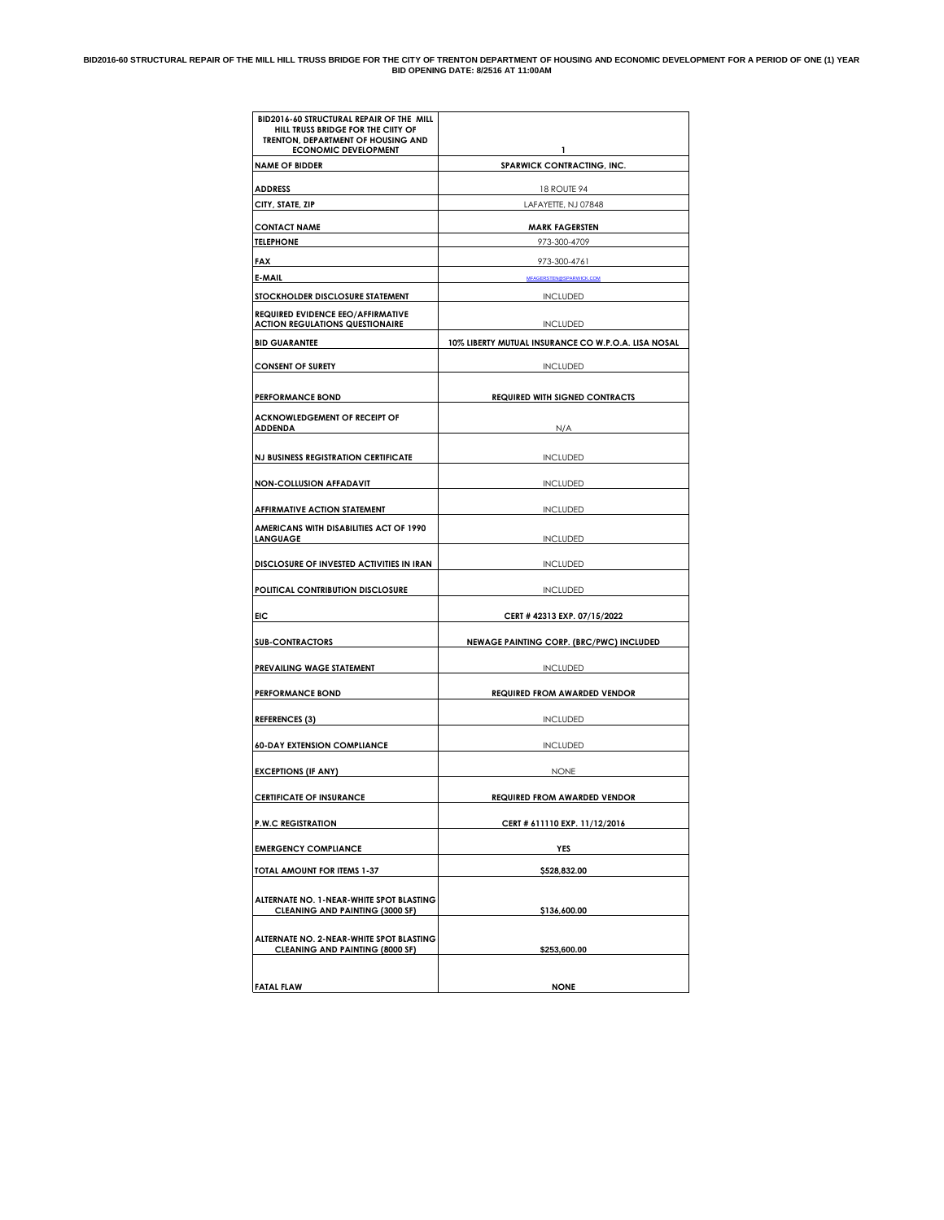#### **BID2016-60 STRUCTURAL REPAIR OF THE MILL HILL TRUSS BRIDGE FOR THE CITY OF TRENTON DEPARTMENT OF HOUSING AND ECONOMIC DEVELOPMENT FOR A PERIOD OF ONE (1) YEAR BID OPENING DATE: 8/2516 AT 11:00AM**

| BID2016-60 STRUCTURAL REPAIR OF THE MILL<br>HILL TRUSS BRIDGE FOR THE CIITY OF<br>TRENTON, DEPARTMENT OF HOUSING AND<br><b>ECONOMIC DEVELOPMENT</b> | $\mathbf{1}$                                        |
|-----------------------------------------------------------------------------------------------------------------------------------------------------|-----------------------------------------------------|
| <b>NAME OF BIDDER</b>                                                                                                                               | SPARWICK CONTRACTING, INC.                          |
| <b>ADDRESS</b>                                                                                                                                      | 18 ROUTE 94                                         |
| CITY, STATE, ZIP                                                                                                                                    | LAFAYETTE, NJ 07848                                 |
| <b>CONTACT NAME</b>                                                                                                                                 | <b>MARK FAGERSTEN</b>                               |
| <b>TELEPHONE</b>                                                                                                                                    | 973-300-4709                                        |
| FAX                                                                                                                                                 | 973-300-4761                                        |
| E-MAIL                                                                                                                                              | MFAGERSTEN@SPARWICK.COM                             |
| STOCKHOLDER DISCLOSURE STATEMENT                                                                                                                    | <b>INCLUDED</b>                                     |
| <b>REQUIRED EVIDENCE EEO/AFFIRMATIVE</b><br><b>ACTION REGULATIONS QUESTIONAIRE</b>                                                                  | <b>INCLUDED</b>                                     |
| <b>BID GUARANTEE</b>                                                                                                                                | 10% LIBERTY MUTUAL INSURANCE CO W.P.O.A. LISA NOSAL |
| <b>CONSENT OF SURETY</b>                                                                                                                            | <b>INCLUDED</b>                                     |
| <b>PERFORMANCE BOND</b>                                                                                                                             | <b>REQUIRED WITH SIGNED CONTRACTS</b>               |
| <b>ACKNOWLEDGEMENT OF RECEIPT OF</b><br><b>ADDENDA</b>                                                                                              | N/A                                                 |
| <b>NJ BUSINESS REGISTRATION CERTIFICATE</b>                                                                                                         | <b>INCLUDED</b>                                     |
| <b>NON-COLLUSION AFFADAVIT</b>                                                                                                                      | <b>INCLUDED</b>                                     |
| AFFIRMATIVE ACTION STATEMENT                                                                                                                        | <b>INCLUDED</b>                                     |
| AMERICANS WITH DISABILITIES ACT OF 1990<br><b>LANGUAGE</b>                                                                                          | <b>INCLUDED</b>                                     |
| DISCLOSURE OF INVESTED ACTIVITIES IN IRAN                                                                                                           | <b>INCLUDED</b>                                     |
| POLITICAL CONTRIBUTION DISCLOSURE                                                                                                                   | <b>INCLUDED</b>                                     |
| <b>EIC</b>                                                                                                                                          | CERT # 42313 EXP. 07/15/2022                        |
| <b>SUB-CONTRACTORS</b>                                                                                                                              | NEWAGE PAINTING CORP. (BRC/PWC) INCLUDED            |
| PREVAILING WAGE STATEMENT                                                                                                                           | INCLUDED                                            |
| <b>PERFORMANCE BOND</b>                                                                                                                             | <b>REQUIRED FROM AWARDED VENDOR</b>                 |
| <b>REFERENCES (3)</b>                                                                                                                               | <b>INCLUDED</b>                                     |
| <b>60-DAY EXTENSION COMPLIANCE</b>                                                                                                                  | <b>INCLUDED</b>                                     |
| <b>EXCEPTIONS (IF ANY)</b>                                                                                                                          | NONE                                                |
| <b>CERTIFICATE OF INSURANCE</b>                                                                                                                     | <b>REQUIRED FROM AWARDED VENDOR</b>                 |
| <b>P.W.C REGISTRATION</b>                                                                                                                           | CERT # 611110 EXP. 11/12/2016                       |
| <b>EMERGENCY COMPLIANCE</b>                                                                                                                         | <b>YES</b>                                          |
| TOTAL AMOUNT FOR ITEMS 1-37                                                                                                                         | \$528,832.00                                        |
| ALTERNATE NO. 1-NEAR-WHITE SPOT BLASTING<br><b>CLEANING AND PAINTING (3000 SF)</b>                                                                  | \$136,600.00                                        |
| ALTERNATE NO. 2-NEAR-WHITE SPOT BLASTING<br><b>CLEANING AND PAINTING (8000 SF)</b>                                                                  | \$253,600.00                                        |
| <b>FATAL FLAW</b>                                                                                                                                   | <b>NONE</b>                                         |
|                                                                                                                                                     |                                                     |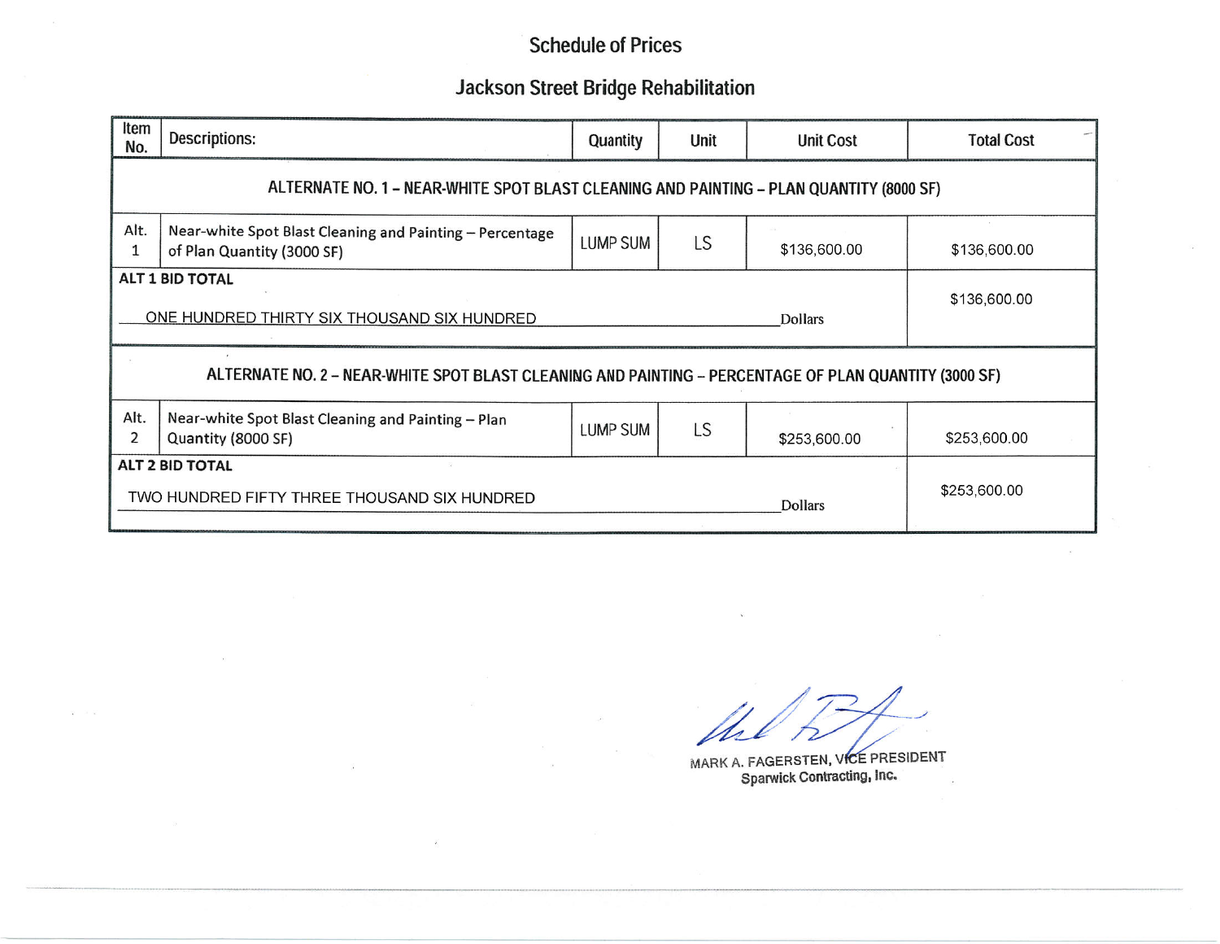## **Jackson Street Bridge Rehabilitation**

| Item<br>No.                                                                                           | Descriptions:                                                                          | Quantity        | Unit | <b>Unit Cost</b> | <b>Total Cost</b> |
|-------------------------------------------------------------------------------------------------------|----------------------------------------------------------------------------------------|-----------------|------|------------------|-------------------|
| ALTERNATE NO. 1 - NEAR-WHITE SPOT BLAST CLEANING AND PAINTING - PLAN QUANTITY (8000 SF)               |                                                                                        |                 |      |                  |                   |
| Alt.<br>1                                                                                             | Near-white Spot Blast Cleaning and Painting - Percentage<br>of Plan Quantity (3000 SF) | <b>LUMP SUM</b> | LS   | \$136,600.00     | \$136,600.00      |
|                                                                                                       | ALT 1 BID TOTAL<br>ONE HUNDRED THIRTY SIX THOUSAND SIX HUNDRED<br><b>Dollars</b>       |                 |      |                  |                   |
| ALTERNATE NO. 2 - NEAR-WHITE SPOT BLAST CLEANING AND PAINTING - PERCENTAGE OF PLAN QUANTITY (3000 SF) |                                                                                        |                 |      |                  |                   |
| Alt.<br>2                                                                                             | Near-white Spot Blast Cleaning and Painting - Plan<br>Quantity (8000 SF)               | <b>LUMP SUM</b> | LS   | \$253,600.00     | \$253,600.00      |
|                                                                                                       | ALT 2 BID TOTAL<br>TWO HUNDRED FIFTY THREE THOUSAND SIX HUNDRED                        | \$253,600.00    |      |                  |                   |

MARK A. FAGERSTEN, VICE PRESIDENT Sparwick Contracting, Inc.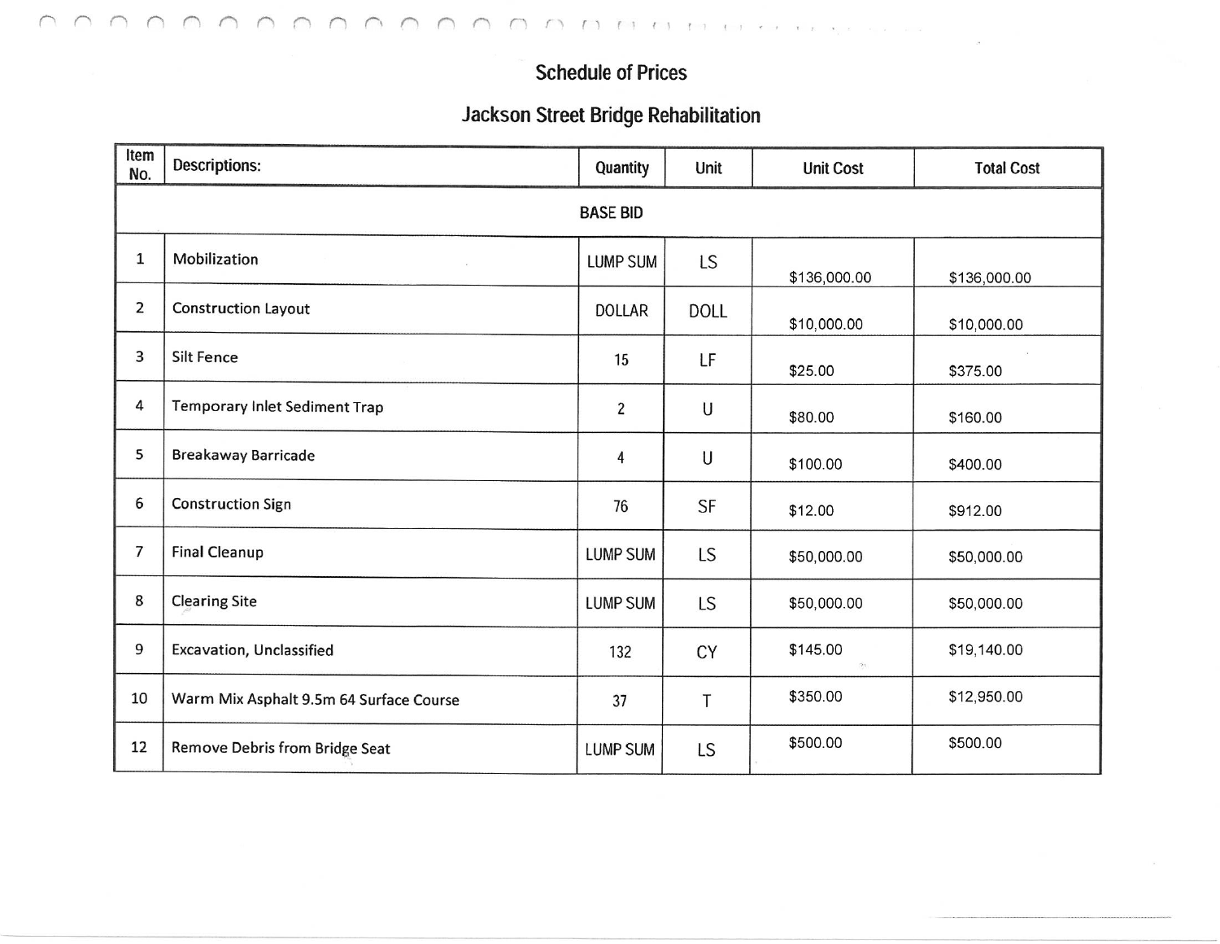## **Jackson Street Bridge Rehabilitation**

| Item<br>No.    | <b>Descriptions:</b>                    | Quantity        | Unit        | <b>Unit Cost</b> | <b>Total Cost</b> |  |  |
|----------------|-----------------------------------------|-----------------|-------------|------------------|-------------------|--|--|
|                | <b>BASE BID</b>                         |                 |             |                  |                   |  |  |
| $\mathbf{1}$   | Mobilization                            | <b>LUMP SUM</b> | LS          | \$136,000.00     | \$136,000.00      |  |  |
| $\overline{2}$ | Construction Layout                     | <b>DOLLAR</b>   | <b>DOLL</b> | \$10,000.00      | \$10,000.00       |  |  |
| 3              | <b>Silt Fence</b>                       | 15              | LF          | \$25.00          | \$375.00          |  |  |
| 4              | Temporary Inlet Sediment Trap           | $\overline{c}$  | U           | \$80.00          | \$160.00          |  |  |
| 5              | <b>Breakaway Barricade</b>              | 4               | U           | \$100.00         | \$400.00          |  |  |
| 6              | <b>Construction Sign</b>                | 76              | SF          | \$12.00          | \$912.00          |  |  |
| 7              | <b>Final Cleanup</b>                    | <b>LUMP SUM</b> | LS          | \$50,000.00      | \$50,000.00       |  |  |
| 8              | <b>Clearing Site</b>                    | <b>LUMP SUM</b> | <b>LS</b>   | \$50,000.00      | \$50,000.00       |  |  |
| 9              | Excavation, Unclassified                | 132             | CY          | \$145.00<br>(字)  | \$19,140.00       |  |  |
| 10             | Warm Mix Asphalt 9.5m 64 Surface Course | 37              | T           | \$350.00         | \$12,950.00       |  |  |
| 12             | Remove Debris from Bridge Seat          | <b>LUMP SUM</b> | <b>LS</b>   | \$500.00         | \$500.00          |  |  |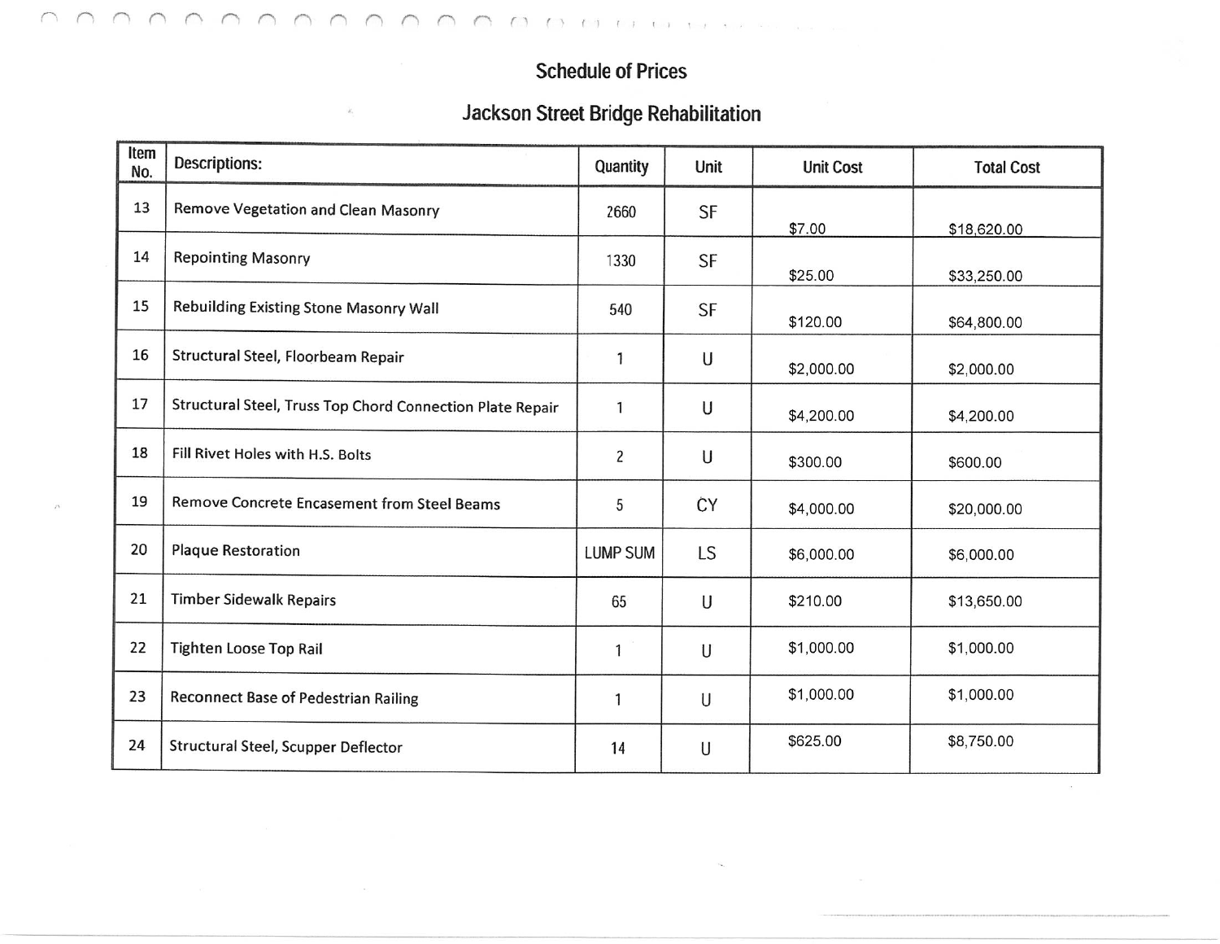# **Jackson Street Bridge Rehabilitation**

| Item<br>No. | Descriptions:                                             | Quantity        | <b>Unit</b> | <b>Unit Cost</b> | <b>Total Cost</b> |
|-------------|-----------------------------------------------------------|-----------------|-------------|------------------|-------------------|
| 13          | Remove Vegetation and Clean Masonry                       | 2660            | SF          | \$7.00           | \$18,620.00       |
| 14          | <b>Repointing Masonry</b>                                 | 1330            | SF          | \$25.00          | \$33,250.00       |
| 15          | Rebuilding Existing Stone Masonry Wall                    | 540             | <b>SF</b>   | \$120.00         | \$64,800.00       |
| 16          | Structural Steel, Floorbeam Repair                        | 1               | U           | \$2,000.00       | \$2,000.00        |
| 17          | Structural Steel, Truss Top Chord Connection Plate Repair | 1               | U           | \$4,200.00       | \$4,200.00        |
| 18          | Fill Rivet Holes with H.S. Bolts                          | $\overline{c}$  | U           | \$300.00         | \$600.00          |
| 19          | Remove Concrete Encasement from Steel Beams               | 5               | ĊΥ          | \$4,000.00       | \$20,000.00       |
| 20          | <b>Plaque Restoration</b>                                 | <b>LUMP SUM</b> | LS          | \$6,000.00       | \$6,000.00        |
| 21          | <b>Timber Sidewalk Repairs</b>                            | 65              | U           | \$210.00         | \$13,650.00       |
| 22          | <b>Tighten Loose Top Rail</b>                             | 1               | U           | \$1,000.00       | \$1,000.00        |
| 23          | <b>Reconnect Base of Pedestrian Railing</b>               | 1               | U           | \$1,000.00       | \$1,000.00        |
| 24          | Structural Steel, Scupper Deflector                       | 14              | U           | \$625.00         | \$8,750.00        |

 $\approx$